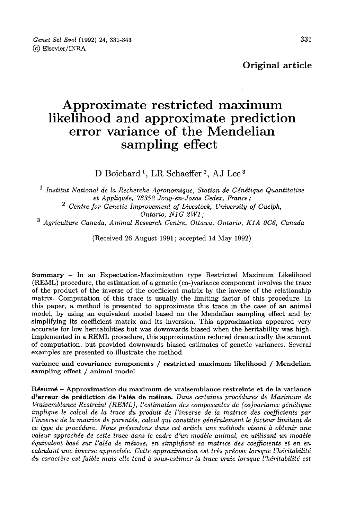Genet Sel Evol (1992) 24, 331-343 (c) Elsevier/INRA

Original article

# Approximate restricted maximum likelihood and approximate prediction error variance of the Mendelian sampling effect

D Boichard<sup>1</sup>, LR Schaeffer<sup>2</sup>, AJ Lee<sup>3</sup>

 $<sup>1</sup>$  Institut National de la Recherche Agronomique, Station de Génétique Quantitative</sup> ut Natio<br><sup>2</sup> Centre et Appliquée, 78352 Jouy-en-Josas Cedex, France; Centre for Genetic Improvement of Livestock, University of Guelph,  $\begin{array}{c} \textbf{O}ntario, \; N1G \; 2W1 \, ; \\ \textbf{3} \; \textbf{A}griculture \; \textbf{Canada, \; Animal Research \; Centre, \; Ottawa, \; Ontario, \; K1A \; \textbf{0C6, \; Canada} \end{array}$ 

(Received 26 August 1991; accepted 14 May 1992)

Summary - In an Expectation-Maximization type Restricted Maximum Likelihood (REML) procedure, the estimation of a genetic (co-)variance component involves the trace of the product of the inverse of the coefficient matrix by the inverse of the relationship matrix. Computation of this trace is usually the limiting factor of this procedure. In this paper, a method is presented to approximate this trace in the case of an animal model, by using an equivalent model based on the Mendelian sampling effect and by simplifying its coefficient matrix and its inversion. This approximation appeared very accurate for low heritabilities but was downwards biased when the heritability was high. Implemented in a REML procedure, this approximation reduced dramatically the amount of computation, but provided downwards biased estimates of genetic variances. Several examples are presented to illustrate the method.

variance and covariance components / restricted maximum likelihood / Mendelian sampling effect / animal model

Résumé - Approximation du maximum de vraisemblance restreinte et de la variance d'erreur de prédiction de l'aléa de méiose. Dans certaines procédures de Maximum de Vraisemblance Restreint (REML), l'estimation des composantes de (co)variance génétique implique le calcul de la trace du produit de l'inverse de la matrice des coefficients par l'inverse de la matrice de parentés, calcul qui constitue généralement le facteur limitant de ce type de procédure. Nous présentons dans cet article une méthode visant à obtenir une valeur approchée de cette trace dans le cadre d'un modèle animal, en utilisant un modèle équivalent basé sur l'aléa de méiose, en simplifiant sa matrice des coefficients et en en calculant une inverse approchée. Cette approximation est très précise lorsque l'héritabilité du caractère est faible mais elle tend à sous-estimer la trace vraie lorsque l'héritabilité est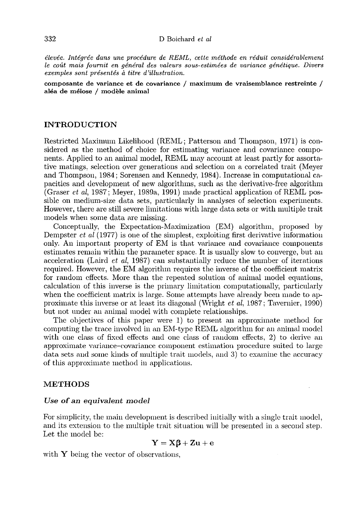élevée. Intégrée dans une procédure de REML, cette méthode en réduit considérablement le coût mais fournit en général des valeurs sous-estimées de variance génétique. Divers exemples sont présentés à titre d'illustration.

composante de variance et de covariance / maximum de vraisemblance restreinte / aléa de méiose / modèle animal

# INTRODUCTION

Restricted Maximum Likelihood (REML; Patterson and Thompson, 1971) is considered as the method of choice for estimating variance and covariance components. Applied to an animal model, REML may account at least partly for assortative matings, selection over generations and selection on a correlated trait (Meyer and Thompson, 1984; Sorensen and Kennedy, 1984). Increase in computational capacities and development of new algorithms, such as the derivative-free algorithm (Graser *et al*, 1987; Meyer, 1989a, 1991) made practical application of REML possible on medium-size data sets, particularly in analyses of selection experiments. However, there are still severe limitations with large data sets or with multiple trait models when some data are missing.

Conceptually, the Expectation-Maximization (EM) algorithm, proposed by Dempster  $et \ al \ (1977)$  is one of the simplest, exploiting first derivative information only. An important property of ER/I is that variance and covariance components estimates remain within the parameter space. It is usually slow to converge, but an acceleration (Laird *et al*, 1987) can substantially reduce the number of iterations required. However, the EM algorithm requires the inverse of the coefficient matrix for random effects. More than the repeated solution of animal model equations, calculation of this inverse is the primary limitation computationally, particularly when the coefficient matrix is large. Some attempts have already been made to approximate this inverse or at least its diagonal (Wright et al, 1987; Tavernier, 1990) but not under an animal model with complete relationships.

The objectives of this paper were 1) to present an approximate method for computing the trace involved in an EM-type REML algorithm for an animal model with one class of fixed effects and one class of random effects, 2) to derive an approximate variance-covariance component estimation procedure suited to large data sets and some kinds of multiple trait models, and 3) to examine the accuracy of this approximate method in applications.

## METHODS

#### Use of an equivalent model

For simplicity, the main development is described initially with a single trait model, and its extension to the multiple trait situation will be presented in a second step. Let the model be:

$$
Y = X\beta + Zu + e
$$

with  $\mathbf Y$  being the vector of observations,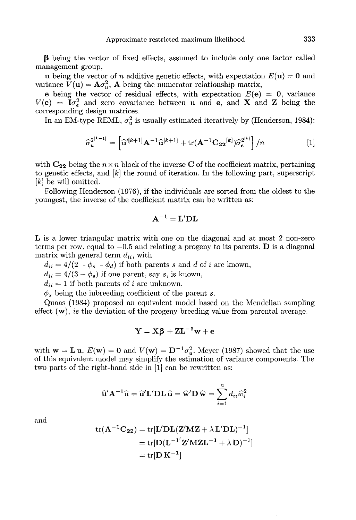p being the vector of fixed effects, assumed to include only one factor called management group,

u being the vector of n additive genetic effects, with expectation  $E(\mathbf{u}) = \mathbf{0}$  and variance  $\tilde{V}(\mathbf{u}) = \mathbf{A}\sigma_u^2$ , **A** being the numerator relationship matrix,<br>e being the vector of residual effects, with expectation  $E(\mathbf{e}) = \mathbf{0}$ , variance

 $V(\mathbf{e}) = \mathbf{I}\sigma_e^2$  and zero covariance between **u** and **e**, and **X** and **Z** being the corresponding design matrices.

In an EM-type REML,  $\sigma_n^2$  is usually estimated iteratively by (Henderson, 1984):

$$
\widehat{\sigma}_{u}^{2^{[k+1]}} = \left[\widehat{\mathbf{u}}^{\prime[k+1]} \mathbf{A}^{-1} \widehat{\mathbf{u}}^{[k+1]} + \text{tr}(\mathbf{A}^{-1} \mathbf{C}_{22}^{[k]}) \widehat{\sigma}_{e}^{2^{[k]}}\right] / n \tag{1}
$$

with  $C_{22}$  being the  $n \times n$  block of the inverse C of the coefficient matrix, pertaining to genetic effects, and [k] the round of iteration. In the following part, superscript [k] be will omitted.

Following Henderson (197G), if the individuals are sorted from the oldest to the youngest, the inverse of the coefficient matrix can be written as:

$$
\mathbf{A}^{-1} = \mathbf{L}'\mathbf{D}\mathbf{L}
$$

L is a lower triangular matrix with one on the diagonal and at most 2 non-zero terms per row. equal to  $-0.5$  and relating a progeny to its parents. D is a diagonal matrix with general term  $d_{ii}$ , with

 $d_{ii} = 4/(2 - \phi_s - \phi_d)$  if both parents s and d of i are known,

 $d_{ii} = 4/(3 - \phi_s)$  if one parent, say s, is known,

 $d_{ii} = 1$  if both parents of i are unknown,

 $\phi_s$  being the inbreeding coefficient of the parent s.

Quaas (1984) proposed an equivalent model based on the Mendelian sampling effect (w), ie the deviation of the progeny breeding value from parental average.

$$
Y = X\beta + ZL^{-1}w + e
$$

with  $\mathbf{w} = \mathbf{L} \mathbf{u}$ ,  $E(\mathbf{w}) = \mathbf{0}$  and  $V(\mathbf{w}) = \mathbf{D}^{-1} \sigma_u^2$ . Meyer (1987) showed that the use of this equivalent model may simplify the estimation of variance components. The two parts of the right-hand side in [1] can be rewritten as:

$$
\widehat{\mathbf{u}}'\mathbf{A}^{-1}\widehat{\mathbf{u}} = \widehat{\mathbf{u}}'\mathbf{L'}\mathbf{D}\mathbf{L}\,\widehat{\mathbf{u}} = \widehat{\mathbf{w}}'\mathbf{D}\,\widehat{\mathbf{w}} = \sum_{i=1}^n d_{ii}\widehat{w}_i^2
$$

and

$$
tr(\mathbf{A}^{-1}\mathbf{C}_{22}) = tr[\mathbf{L}'\mathbf{DL}(\mathbf{Z}'\mathbf{M}\mathbf{Z} + \lambda \mathbf{L}'\mathbf{DL})^{-1}]
$$
  
= tr[\mathbf{D}(\mathbf{L}^{-1'}\mathbf{Z}'\mathbf{M}\mathbf{Z}\mathbf{L}^{-1} + \lambda \mathbf{D})^{-1}]  
= tr[\mathbf{D}\mathbf{K}^{-1}]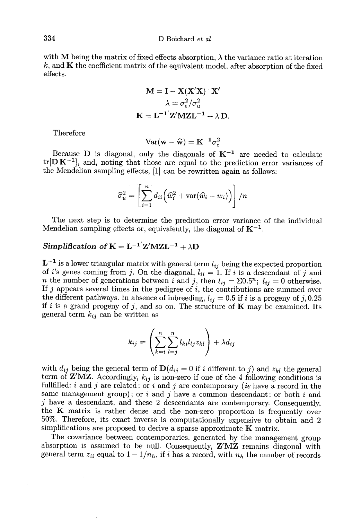with M being the matrix of fixed effects absorption,  $\lambda$  the variance ratio at iteration  $k$ , and  $\bf{K}$  the coefficient matrix of the equivalent model, after absorption of the fixed effects.

$$
M = I - X(X'X)^{-}X'
$$

$$
\lambda = \sigma_e^2/\sigma_u^2
$$

$$
K = L^{-1'}Z'MZL^{-1} + \lambda D.
$$

Therefore

$$
Var(\mathbf{w} - \widehat{\mathbf{w}}) = \mathbf{K}^{-1} \sigma_e^2
$$

Because D is diagonal, only the diagonals of  $K^{-1}$  are needed to calculate  $tr[D K^{-1}]$ , and, noting that those are equal to the prediction error variances of the Mendelian sampling effects, [1] can be rewritten again as follows:

$$
\widehat{\sigma}_u^2 = \left[ \sum_{i=1}^n d_{ii} \left( \widehat{w}_i^2 + \text{var}(\widehat{w}_i - w_i) \right) \right] / n
$$

The next step is to determine the prediction error variance of the individual The next step is to determine the prediction error variance Mendelian sampling effects or, equivalently, the diagonal of  $K^{-1}$ .

# Simplification of  $K = L^{-1'}Z'MZL^{-1} + \lambda D$

 $L^{-1}$  is a lower triangular matrix with general term  $l_{ij}$  being the expected proportion of *i*'s genes coming from *j*. On the diagonal,  $l_{ii} = 1$ . If *i* is a descendant of *j* and n the number of generations between i and j, then  $l_{ij} = \sum 0.5^n$ ;  $l_{ij} = 0$  otherwise. If  $j$  appears several times in the pedigree of  $i$ , the contributions are summed over the different pathways. In absence of inbreeding,  $l_{ij} = 0.5$  if i is a progeny of j, 0.25 if i is a grand progeny of j, and so on. The structure of **K** may be examined. Its general term  $k_{ij}$  can be written as

$$
k_{ij} = \left(\sum_{k=i}^{n} \sum_{l=j}^{n} l_{ki} l_{lj} z_{kl}\right) + \lambda d_{ij}
$$

with  $d_{ij}$  being the general term of  $\mathbf{D}(d_{ij} = 0$  if i different to j) and  $z_{kl}$  the general term of Z'MZ. Accordingly,  $k_{ij}$  is non-zero if one of the 4 following conditions is fullfilled: i and j are related; or i and j are contemporary (ie have a record in the same management group); or i and j have a common descendant; or both i and j have a descendant, and these 2 descendants are contemporary. Consequently, the  $K$  matrix is rather dense and the non-zero proportion is frequently over 50%. Therefore, its exact inverse is computationally expensive to obtain and 2 simplifications are proposed to derive a sparse approximate  $K$  matrix.

The covariance between contemporaries, generated by the management group absorption is assumed to be null. Consequently, Z'MZ remains diagonal with general term  $z_{ii}$  equal to  $1 - 1/n_h$ , if i has a record, with  $n_h$  the number of records

334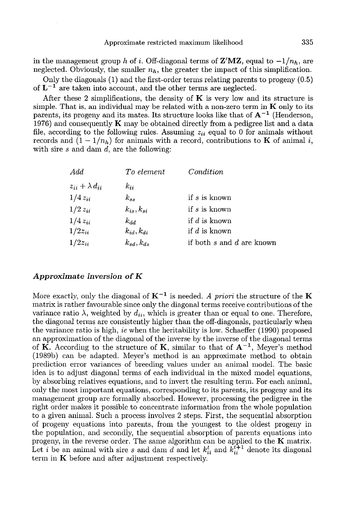Approximate restricted maximum likelihood 335<br>in the management group h of i. Off-diagonal terms of  $\mathbf{Z}'\mathbf{M}\mathbf{Z}$ , equal to  $-1/n_h$ , are<br>neglected. Obviously, the smaller  $n_h$ , the greater the impact of this simplifi

Only the diagonals (1) and the first-order terms relating parents to progeny (0.5) of  $L^{-1}$  are taken into account, and the other terms are neglected.

After these 2 simplifications, the density of  $\bf{K}$  is very low and its structure is simple. That is, an individual may be related with a non-zero term in  $\bf{K}$  only to its parents, its progeny and its mates. Its structure looks like that of  $A^{-1}$  (Henderson, 1976) and consequently  $K$  may be obtained directly from a pedigree list and a data file, according to the following rules. Assuming  $z_{ii}$  equal to 0 for animals without records and  $(1 - 1/n_h)$  for animals with a record, contributions to **K** of animal *i*, with sire  $s$  and dam  $d$ , are the following:

| Add                       | To element       | Condition                 |
|---------------------------|------------------|---------------------------|
| $z_{ii} + \lambda d_{ii}$ | $k_{ii}$         |                           |
| $1/4 z_{ii}$              | $k_{ss}$         | if s is known             |
| $1/2 z_{ii}$              | $k_{is}, k_{si}$ | if s is known             |
| $1/4z_{ii}$               | $k_{dd}$         | if $d$ is known           |
| $1/2z_{ii}$               | $k_{id}, k_{di}$ | if $d$ is known           |
| $1/2z_{ii}$               | $k_{sd}, k_{ds}$ | if both s and d are known |

#### Approximate inversion of K

More exactly, only the diagonal of  $K^{-1}$  is needed. A priori the structure of the K matrix is rather favourable since only the diagonal terms receive contributions of the variance ratio  $\lambda$ , weighted by  $d_{ii}$ , which is greater than or equal to one. Therefore, the diagonal terms are consistently higher than the off-diagonals, particularly when the variance ratio is high, ie when the heritability is low. Schaeffer (1990) proposed an approximation of the diagonal of the inverse by the inverse of the diagonal terms of K. According to the structure of K, similar to that of  $A^{-1}$ , Meyer's method  $(1989b)$  can be adapted. Mever's method is an approximate method to obtain prediction error variances of breeding values under an animal model. The basic idea is to adjust diagonal terms of each individual in the mixed model equations, by absorbing relatives equations, and to invert the resulting term. For each animal, only the most important equations, corresponding to its parents, its progeny and its management group are formally absorbed. However, processing the pedigree in the right order makes it possible to concentrate information from the whole population to a given animal. Such a process involves 2 steps. First, the sequential absorption of progeny equations into parents, from the youngest to the oldest progeny in the population, and secondly, the sequential absorption of parents equations into progeny, in the reverse order. The same algorithm can be applied to the **K** matrix. Let *i* be an animal with sire s and dam d and let  $k_{ii}^t$  and  $\hat{k}_{ii}^{t+1}$  denote its diagonal term in **K** before and after adjustment respectively.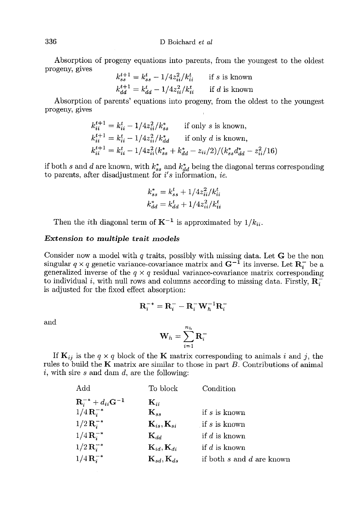Absorption of progeny equations into parents, from the youngest to the oldest progeny, gives

$$
k_{ss}^{t+1} = k_{ss}^t - 1/4z_{ii}^2/k_{ii}^t
$$
 if s is known  

$$
k_{dd}^{t+1} = k_{dd}^t - 1/4z_{ii}^2/k_{ii}^t
$$
 if d is known

Absorption of parents' equations into progeny, from the oldest to the youngest progeny, gives

$$
k_{ii}^{t+1} = k_{ii}^t - 1/4z_{ii}^2/k_{ss}^*
$$
 if only s is known,  
\n
$$
k_{ii}^{t+1} = k_{ii}^t - 1/4z_{ii}^2/k_{dd}^*
$$
 if only d is known,  
\n
$$
k_{ii}^{t+1} = k_{ii}^t - 1/4z_{ii}^2(k_{ss}^* + k_{dd}^* - z_{ii}/2)/(k_{ss}^*d_{dd}^* - z_{ii}^2/16)
$$

if both s and d are known, with  $k_{ss}^*$  and  $k_{dd}^*$  being the diagonal terms corresponding to parents, after disadjustment for  $i's$  information, ie.

$$
k_{ss}^{*} = k_{ss}^{t} + 1/4z_{ii}^{2}/k_{ii}^{t}
$$

$$
k_{dd}^{*} = k_{dd}^{t} + 1/4z_{ii}^{2}/k_{ii}^{t}
$$

Then the *i*th diagonal term of  $K^{-1}$  is approximated by  $1/k_{ii}$ .

#### Extension to multiple trait models

Consider now a model with  $q$  traits, possibly with missing data. Let  $G$  be the non singular  $q \times q$  genetic variance-covariance matrix and  $G^{-1}$  its inverse. Let  $\mathbb{R}^{\text{-}}$  be a generalized inverse of the  $q \times q$  residual variance-covariance matrix corresponding to individual i, with null rows and columns according to missing data. Firstly,  $\mathbb{R}$ , is adjusted for the fixed effect absorption:

$$
\mathbf{R}_i^{-*} = \mathbf{R}_i^- - \mathbf{R}_i^- \mathbf{W}_h^{-1} \mathbf{R}_i^-
$$

and

 $\mathbb{R}^2$  .

$$
\mathbf{W}_h = \sum_{i=1}^{n_h} \mathbf{R}_i^-
$$

If  $\mathbf{K}_{ij}$  is the  $q \times q$  block of the K matrix corresponding to animals i and j, the rules to build the  $K$  matrix are similar to those in part  $B$ . Contributions of animal  $i$ , with sire s and dam  $d$ , are the following:

| Add                                    | To block                           | Condition                 |
|----------------------------------------|------------------------------------|---------------------------|
| ${\bf R}_i^{-*} + d_{ii} {\bf G}^{-1}$ | $\mathbf{K}_{ii}$                  |                           |
| $1/4\,R_i^{-*}$                        | $\mathbf{K}_{ss}$                  | if $s$ is known           |
| $1/2\,R_i^{-*}$                        | $\mathbf{K}_{is}, \mathbf{K}_{si}$ | if s is known             |
| $1/4\,R_i^{-*}$                        | $\mathbf{K}_{dd}$                  | if $d$ is known           |
| $1/2\,\mathbf{R}_{i}^{-*}$             | ${\bf K}_{id}, {\bf K}_{di}$       | if $d$ is known           |
| $1/4\,R_i^{-*}$                        | $\mathbf{K}_{sd}, \mathbf{K}_{ds}$ | if both s and d are known |
|                                        |                                    |                           |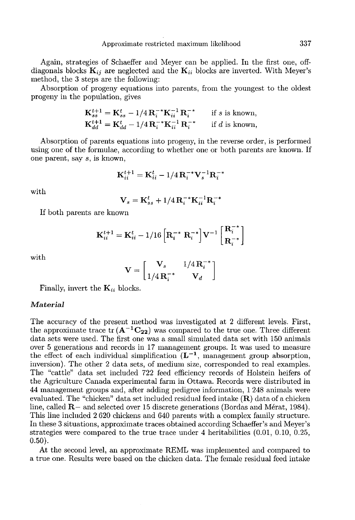Again, strategies of Schaeffer and Meyer can be applied. In the first one, offdiagonals blocks  $\mathbf{K}_{ij}$  are neglected and the  $\mathbf{K}_{ii}$  blocks are inverted. With Meyer's method, the 3 steps are the following:

Absorption of progeny equations into parents, from the youngest to the oldest progeny in the population, gives

$$
\mathbf{K}_{ss}^{t+1} = \mathbf{K}_{ss}^t - 1/4 \mathbf{R}_i^{-*} \mathbf{K}_{ii}^{-1} \mathbf{R}_i^{-*}
$$
 if s is known,  
\n
$$
\mathbf{K}_{dd}^{t+1} = \mathbf{K}_{dd}^t - 1/4 \mathbf{R}_i^{-*} \mathbf{K}_{ii}^{-1} \mathbf{R}_i^{-*}
$$
 if d is known,

Absorption of parents equations into progeny, in the reverse order, is performed using one of the formulae, according to whether one or both parents are known. If one parent, say s, is known,

$$
\mathbf{K}_{ii}^{t+1} = \mathbf{K}_{ii}^t - 1/4\,\mathbf{R}_i^{-*}\mathbf{V}_s^{-1}\mathbf{R}_i^{-*}
$$

with

$$
\mathbf{V}_s = \mathbf{K}_{ss}^t + 1/4 \,\mathbf{R}_i^{-*} \mathbf{K}_{ii}^{-1} \mathbf{R}_i^{-*}
$$

If both parents are known

$$
\mathbf{K}_{ii}^{t+1} = \mathbf{K}_{ii}^{t} - 1/16 \left[ \mathbf{R}_{i}^{-*} \ \mathbf{R}_{i}^{-*} \right] \mathbf{V}^{-1} \left[ \begin{matrix} \mathbf{R}_{i}^{-*} \\ \mathbf{R}_{i}^{-*} \end{matrix} \right]
$$

with

$$
\mathbf{V} = \begin{bmatrix} \mathbf{V}_s & 1/4 \mathbf{R}_i^{-*} \\ 1/4 \mathbf{R}_i^{-*} & \mathbf{V}_d \end{bmatrix}
$$

Finally, invert the  $K_{ii}$  blocks.

#### Material

The accuracy of the present method was investigated at 2 different levels. First, the approximate trace tr  $(A^{-1}C_{22})$  was compared to the true one. Three different data sets were used. The first one was a small simulated data set with 150 animals over 5 generations and records in 17 management groups. It was used to measure the effect of each individual simplification  $(L^{-1})$ , management group absorption, inversion). The other 2 data sets, of medium size, corresponded to real examples. The "cattle" data set included 722 feed efficiency records of Holstein heifers of the Agriculture Canada experimental farm in Ottawa. Records were distributed in 44 management groups and, after adding pedigree information, 1 248 animals were evaluated. The "chicken" data set included residual feed intake  $(R)$  data of a chicken line, called  $\mathbb{R}$  and selected over 15 discrete generations (Bordas and Mérat, 1984). This line included 2 G20 chickens and 640 parents with a complex family structure. In these 3 situations, approximate traces obtained according Schaeffer's and Meyer's strategies were compared to the true trace under 4 heritabilities (0.01, 0.10, 0.25, 0.50).

At the second level, an approximate RENIL was implemented and compared to a true one. Results were based on the chicken data. The female residual feed intake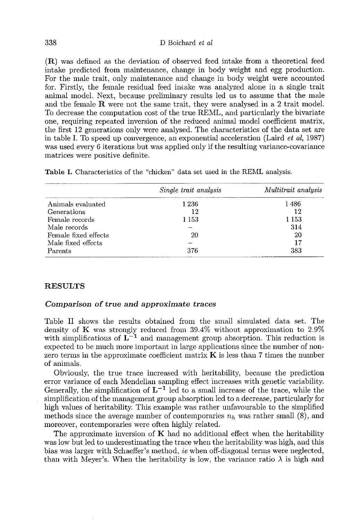(R) was defined as the deviation of observed feed intake from a theoretical feed intake predicted from maintenance, change in body weight and egg production. For the male trait, only maintenance and change in body weight were accounted for. Firstly, the female residual feed intake was analyzed alone in a single trait animal model. Next, because preliminary results led us to assume that the male and the female  $\bf{R}$  were not the same trait, they were analysed in a 2 trait model. To decrease the computation cost of the true REML, and particularly the bivariate one, requiring repeated inversion of the reduced animal model coefficient matrix, the first 12 generations only were analysed. The characteristics of the data set are in table I. To speed up convergence, an exponential acceleration (Laird et al, 1987) was used every 6 iterations but was applied only if the resulting variance-covariance matrices were positive definite.

|                      | Single trait analysis | Multitrait analysis |
|----------------------|-----------------------|---------------------|
| Animals evaluated    | 1 2 3 6               | 1486                |
| Generations          | 12                    | 12                  |
| Female records       | 1 153                 | 1 153               |
| Male records         |                       | 314                 |
| Female fixed effects | 20                    | 20                  |
| Male fixed effects   |                       | 17                  |
| Parents              | 376                   | 383                 |

Table I. Characteristics of the "chicken" data set used in the REML analysis.

# RESULTS

### Comparison of true and approximate traces

Table II shows the results obtained from the small simulated data set. The density of K was strongly reduced from 39.4% without approximation to 2.9% with simplifications of  $L^{-1}$  and management group absorption. This reduction is expected to be much more important in large applications since the number of nonzero terms in the approximate coefficient matrix  $\bf{K}$  is less than 7 times the number of animals.

Obviously, the true trace increased with heritability, because the prediction error variance of each Mendelian sampling effect increases with genetic variability.<br>Generally, the simplification of  $L^{-1}$  led to a small increase of the trace, while the simplification of the management group absorption led to a decrease, particularly for high values of heritability. This example was rather unfavourable to the simplified methods since the average number of contemporaries  $n_h$  was rather small (8), and moreover, contemporaries were often highly related.

The approximate inversion of  $\bf{K}$  had no additional effect when the heritability was low but led to underestimating the trace when the heritability was high, and this bias was larger with Schaeffer's method, ie when off-diagonal terms were neglected, than with Meyer's. When the heritability is low, the variance ratio  $\lambda$  is high and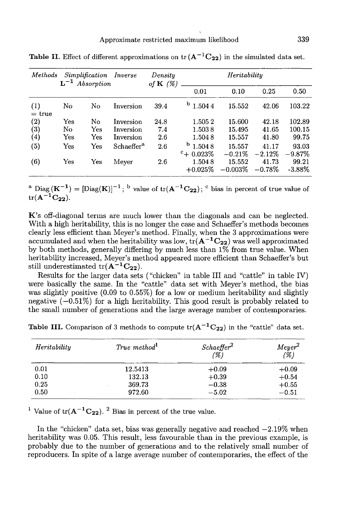| Methods                      |                      | Simplification<br>$L^{-1}$ Absorption | Inverse                | Density<br>of $\mathbf{K}(\%)$ |                                     | Heritability        |                    |                    |
|------------------------------|----------------------|---------------------------------------|------------------------|--------------------------------|-------------------------------------|---------------------|--------------------|--------------------|
|                              |                      |                                       |                        |                                | 0.01                                | 0.10                | 0.25               | 0.50               |
| $\left(1\right)$<br>$=$ true | No                   | No                                    | Inversion              | 39.4                           | b<br>1.5044                         | 15.552              | 42.06              | 103.22             |
| $\scriptstyle{(2)}$          | Yes                  | No.                                   | Inversion              | 24.8                           | 1.5052                              | 15.600              | 42.18              | 102.89             |
| $\left( 3\right)$            | No                   | Yes                                   | Inversion              | 7.4                            | 1.5038                              | 15.495              | 41.65              | 100.15             |
| $\left( 4\right)$            | Yes                  | Yes                                   | Inversion              | 2.6                            | 1.5048                              | 15.557              | 41.80              | 99.75              |
| (5)                          | Yes                  | Yes                                   | Schaeffer <sup>a</sup> | 2.6                            | b<br>1.5048<br>$^{\rm c}$ + 0.023\% | 15.557<br>$-0.21%$  | 41.17<br>$-2.12\%$ | 93.03<br>$-9.87\%$ |
| (6)                          | $\operatorname{Yes}$ | Yes                                   | Meyer                  | 2.6                            | 1.5048<br>$+0.025%$                 | 15.552<br>$-0.003%$ | 41.73<br>$-0.78\%$ | 99.21<br>$-3.88\%$ |

Table II. Effect of different approximations on  $tr(A^{-1}C_{22})$  in the simulated data set.

K's off-diagonal terms are much lower than the diagonals and can be neglected. With a high heritability, this is no longer the case and Schaeffer's methods becomes clearly less efficient than Meyer's method. Finally, when the 3 approximations were tr( $A^{-1}C_{22}$ ).<br> **K**'s off-diagonal terms are much lower than the diagonals and can be neglected.<br>
With a high heritability, this is no longer the case and Schaeffer's methods becomes<br>
clearly less efficient than Meyer's by both methods, generally differing by much less than  $1\%$  from true value. When heritability increased, Meyer's method appeared more efficient than Schaeffer's but still underestimated  $tr(A^{-1}C_{22})$ . **K**'s off-diagonal terms are much<br>With a high heritability, this is nc<br>clearly less efficient than Meyer's<br>accumulated and when the herital<br>by both methods, generally differ<br>heritability increased, Meyer's me<br>still undere

Results for the larger data sets ("chicken" in table III and "cattle" in table IV) were basically the same. In the "cattle" data set with Meyer's method, the bias was slightly positive (0.09 to 0.55%) for a low or medium heritability and slightly negative  $(-0.51\%)$  for a high heritability. This good result is probably related to the small number of generations and the large average number of contemporaries.

| Heritability | True method <sup>1</sup> | Schaeffer <sup>2</sup><br>(%) | Meyer <sup>2</sup><br>(%) |
|--------------|--------------------------|-------------------------------|---------------------------|
| 0.01         | 12.5413                  | $+0.09$                       | $+0.09$                   |
| 0.10         | 132.13                   | $+0.39$                       | $+0.54$                   |
| 0.25         | 369.73                   | $-0.38$                       | $+0.55$                   |
| 0.50         | 972.60                   | $-5.02$                       | $-0.51$                   |

Table III. Comparison of 3 methods to compute  $tr(A^{-1}C_{22})$  in the "cattle" data set.

<sup>1</sup> Value of tr( $A^{-1}C_{22}$ ). <sup>2</sup> Bias in percent of the true value.

In the "chicken" data set, bias was generally negative and reached  $-2.19\%$  when heritability was 0.05. This result, less favourable than in the previous example, is probably due to the number of generations and to the relatively small number of reproducers. In spite of a large average number of contemporaries, the effect of the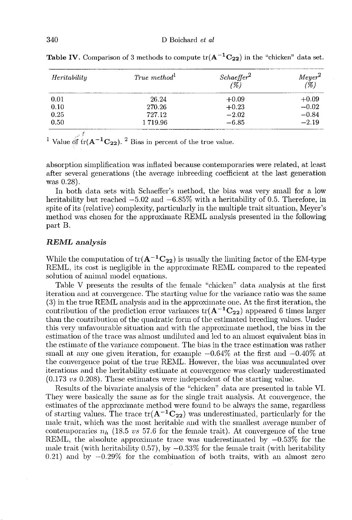| Heritability | True method <sup>1</sup> | $^{Schaef\!fer}$ <sup>2</sup><br>(%) | $Meyer^2$<br>(%) |
|--------------|--------------------------|--------------------------------------|------------------|
| 0.01         | 26.24                    | $+0.09$                              | $+0.09$          |
| 0.10         | 270.26                   | $+0.23$                              | $-0.02$          |
| 0.25         | 727.12                   | $-2.02$                              | $-0.84$          |
| 0.50         | 1719.96                  | $-6.85$                              | $-2.19$          |

**Table IV.** Comparison of 3 methods to compute  $tr(A^{-1}C_{22})$  in the "chicken" data set.

<sup>1</sup> Value of tr( $A^{-1}C_{22}$ ). <sup>2</sup> Bias in percent of the true value.

absorption simplification was inflated because contemporaries were related, at least after several generations (the average inbreeding coefficient at the last generation was 0.28).

In both data sets with Schaeffer's method, the bias was very small for a low heritability but reached  $-5.02$  and  $-6.85\%$  with a heritability of 0.5. Therefore, in spite of its (relative) complexity, particularly in the multiple trait situation, Meyer's method was chosen for the approximate REML analysis presented in the following part B.

#### REML analysis

While the computation of  $tr(A^{-1}C_{22})$  is usually the limiting factor of the EM-type REML, its cost is negligible in the approximate REML compared to the repeated solution of animal model equations.

Table V presents the results of the female "chicken" data analysis at the first iteration and at convergence. The starting value for the variance ratio was the same (3) in the true REML analysis and in the approximate one. At the first iteration, the contribution of the prediction error variances tr( $A^{-1}C_{22}$ ) appeared 6 times larger than the contribution of the quadratic form of the estimated breeding values. Under this very unfavourable situation and with the approximate method, the bias in the estimation of the trace was almost undiluted and led to an almost equivalent bias in the estimate of the variance component. Tlie bias in the trace estimation was rather small at any one given iteration, for example  $-0.64\%$  at the first and  $-0.40\%$  at the convergence point of the true RENIL. However, the bias was accumulated over iterations and the heritability estimate at convergence was clearly underestimated (0.173 us 0.208). These estimates were independent of the starting value.

Results of the bivariate analysis of the "chicken" data are presented in table VI. They were basically the same as for the single trait analysis. At convergence, the estimates of the approximate method were found to be always the same, regardless of starting values. The trace  $tr(A^{-1}C_{22})$  was underestimated, particularly for the male trait, which was the most heritable and with the smallest average number of contemporaries  $n_h$  (18.5 vs 57.6 for the female trait). At convergence of the true REML, the absolute approximate trace was underestimated by  $-0.53\%$  for the male trait (with heritability  $0.57$ ), by  $-0.33\%$  for the female trait (with heritability  $(0.21)$  and by  $-0.29\%$  for the combination of both traits, with an almost zero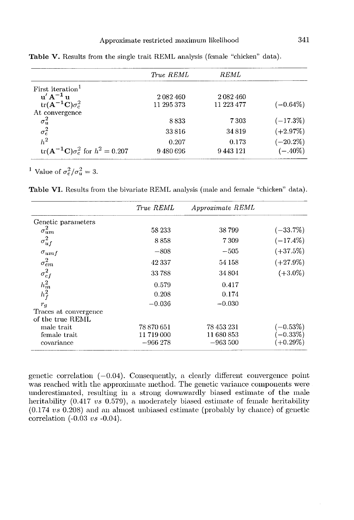|                                           | True REML  | REML       |             |
|-------------------------------------------|------------|------------|-------------|
| First iteration <sup>1</sup>              |            |            |             |
| $\mathbf{u}' \mathbf{A}^{-1} \mathbf{u}$  | 2082460    | 2 082 460  |             |
| $tr(A^{-1}C)\sigma_c^2$                   | 11 295 373 | 11 223 477 | $(-0.64\%)$ |
| At convergence                            |            |            |             |
| $\sigma_u^2$                              | 8833       | 7 303      | $(-17.3\%)$ |
| $\sigma_e^2$                              | 33816      | 34819      | $(+2.97%)$  |
| $h^2$                                     | 0.207      | 0.173      | $(-20.2\%)$ |
| $tr(A^{-1}C)\sigma_e^2$ for $h^2 = 0.207$ | 9480696    | 9443121    | $(-.40\%)$  |

Table V. Results from the single trait REML analysis (female "chicken" data).

<sup>1</sup> Value of  $\sigma_e^2/\sigma_u^2 = 3$ .

Table VI. Results from the bivariate REML analysis (male and female "chicken" data).

|                       | True REML   | Approximate REML |             |
|-----------------------|-------------|------------------|-------------|
| Genetic parameters    |             |                  |             |
| $\sigma_{um}^2$       | 58 233      | 38799            | $(-33.7\%)$ |
| $\sigma_{uf}^2$       | 8858        | 7309             | $(-17.4\%)$ |
| $\sigma_{umf}$        | $-808$      | $-505$           | $(+37.5%)$  |
| $\sigma_{em}^2$       | 42 3 3 7    | 54 158           | $(+27.9\%)$ |
| $\sigma_{ef}^2$       | 33788       | 34 804           | $(+3.0\%)$  |
| $\frac{h_m^2}{h_f^2}$ | 0.579       | 0.417            |             |
|                       | 0.208       | 0.174            |             |
| $r_q$                 | $-0.036$    | $-0.030$         |             |
| Traces at convergence |             |                  |             |
| of the true REML      |             |                  |             |
| male trait            | 78 870 651  | 78 453 231       | $(-0.53%)$  |
| female trait          | 11 719 000  | 11 680 853       | $-0.33\%$   |
| covariance            | $-966\,278$ | $-963\,500$      | $(+0.29\%)$ |

genetic correlation  $(-0.04)$ . Consequently, a clearly different convergence point was reached with the approximate method. The genetic variance components were underestimated, resulting in a strong downwardly biased estimate of the male heritability (0.417  $vs$  0.579), a moderately biased estimate of female heritability (0.174 vs 0.208) and an almost unbiased estimate (probably by chance) of genetic correlation (-0.03 vs -0.04).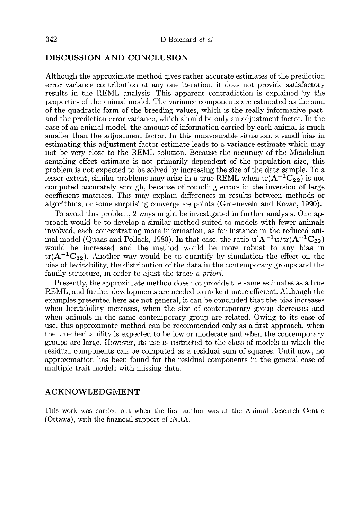# DISCUSSION AND CONCLUSION

Although the approximate method gives rather accurate estimates of the prediction error variance contribution at any one iteration, it does not provide satisfactory results in the RENIL analysis. This apparent contradiction is explained by the properties of the animal model. The variance components are estimated as the sum of the quadratic form of the breeding values, which is the really informative part, and the prediction error variance, which should be only an adjustment factor. In the case of an animal model, the amount of information carried by each animal is much smaller than the adjustment factor. In this unfavourable situation, a small bias in estimating this adjustment factor estimate leads to a variance estimate which may not be very close to the REML solution. Because the accuracy of the Mendelian sampling effect estimate is not primarily dependent of the population size, this problem is not expected to be solved by increasing the size of the data sample. To a lesser extent, similar problems may arise in a true REML when  $tr(A^{-1}C_{22})$  is not computed accurately enough, because of rounding errors in the inversion of large coefficient matrices. This may explain differences in results between methods or algorithms, or some surprising convergence points (Groeneveld and Kovac, 1990). acy of the Mendelian<br>population size, this<br>the data sample. To zeen tr( $\mathbf{A}^{-1}\mathbf{C}_{22}$ ) is not<br>the inversion of large<br>between methods on<br>ld and Kovac, 1990).<br>ther analysis. One ap-<br>ls with fewer animals<br>ce in the redu

To avoid this problem, 2 ways might be investigated in further analysis. One approach would be to develop a similar method suited to models with fewer animals involved, each concentrating more information, as for instance in the reduced aniwould be increased and the method would be more robust to any bias in mal model (Quaas and Pollack, 1980). In that case, the ratio algorithms, or some surprising convergence points (Groeneveld and Kovac, 1990).<br>To avoid this problem, 2 ways might be investigated in further analysis. One ap-<br>proach would be to develop a similar method suited to models bias of heritability, the distribution of the data in the contemporary groups and the family structure, in order to ajust the trace a priori.

Presently, the approximate method does not provide the same estimates as a true REML, and further developments are needed to make it more efficient. Although the examples presented here are not general, it can be concluded that the bias increases when heritability increases, when the size of contemporary group decreases and when animals in the same contemporary group are related. Owing to its ease of use, this approximate method can be recommended only as a first approach, when the true heritability is expected to be low or moderate and when the contemporary groups are large. However, its use is restricted to the class of models in which the residual components can be computed as a residual sum of squares. Until now, no approximation has been found for the residual components in the general case of multiple trait models with missing data.

# ACKNOWLEDGMENT

This work was carried out when the first author was at' the Animal Research Centre (Ottawa), with the financial support of INRA.